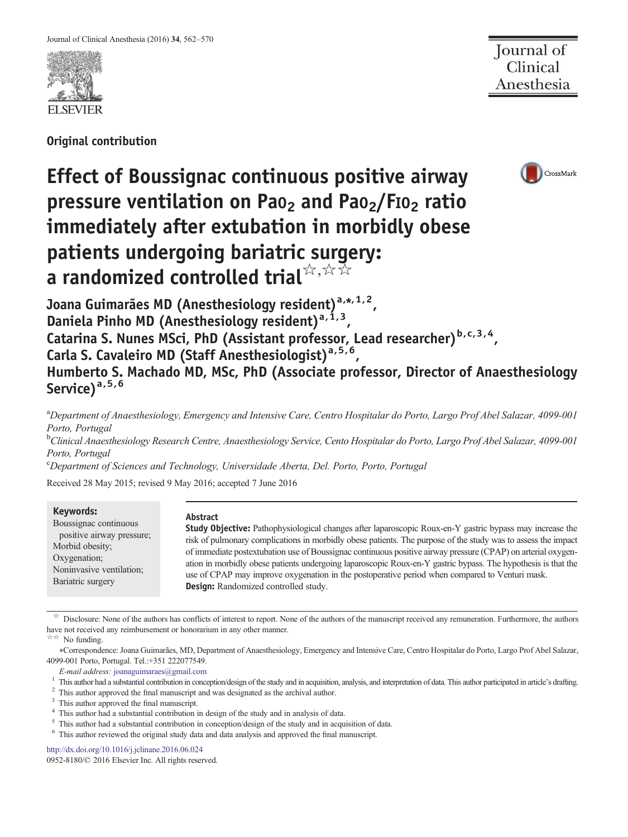

Original contribution

Journal of<br>Clinical Anesthesia

# Effect of Boussignac continuous positive airway pressure ventilation on Pao<sub>2</sub> and Pao<sub>2</sub>/FIO<sub>2</sub> ratio immediately after extubation in morbidly obese patients undergoing bariatric surgery: a randomized controlled trial $\overline{\mathsf{x}}$ ,  $\overline{\mathsf{x}}$



Joana Guimarães MD (Anesthesiology resident)<sup>a,\*,1,2</sup>, Daniela Pinho MD (Anesthesiology resident)<sup>a, 1, 3</sup>, Catarina S. Nunes MSci, PhD (Assistant professor, Lead researcher)  $b,c,3,4$ , Carla S. Cavaleiro MD (Staff Anesthesiologist)<sup>a, 5, 6</sup>, Humberto S. Machado MD, MSc, PhD (Associate professor, Director of Anaesthesiology Service)<sup>a,5,6</sup>

<sup>a</sup>Department of Anaesthesiology, Emergency and Intensive Care, Centro Hospitalar do Porto, Largo Prof Abel Salazar, 4099-001 Porto, Portugal

<sup>b</sup>Clinical Anaesthesiology Research Centre, Anaesthesiology Service, Cento Hospitalar do Porto, Largo Prof Abel Salazar, 4099-001 Porto, Portugal

c Department of Sciences and Technology, Universidade Aberta, Del. Porto, Porto, Portugal

Received 28 May 2015; revised 9 May 2016; accepted 7 June 2016

## Keywords:

Boussignac continuous positive airway pressure; Morbid obesity; Oxygenation; Noninvasive ventilation; Bariatric surgery

## Abstract

Study Objective: Pathophysiological changes after laparoscopic Roux-en-Y gastric bypass may increase the risk of pulmonary complications in morbidly obese patients. The purpose of the study was to assess the impact of immediate postextubation use of Boussignac continuous positive airway pressure (CPAP) on arterial oxygenation in morbidly obese patients undergoing laparoscopic Roux-en-Y gastric bypass. The hypothesis is that the use of CPAP may improve oxygenation in the postoperative period when compared to Venturi mask. Design: Randomized controlled study.

 $\overrightarrow{x}$  Disclosure: None of the authors has conflicts of interest to report. None of the authors of the manuscript received any remuneration. Furthermore, the authors have not received any reimbursement or honorarium in any other manner.

☆☆ No funding.

⁎Correspondence: Joana Guimarães, MD, Department of Anaesthesiology, Emergency and Intensive Care, Centro Hospitalar do Porto, Largo Prof Abel Salazar, 4099-001 Porto, Portugal. Tel.:+351 222077549.

E-mail address: [joanaguimaraes@gmail.com](mailto:joanaguimaraes@gmail.com)

 $\frac{1}{2}$  This author had a substantial contribution in conception/design of the study and in acquisition, analysis, and interpretation of data. This author participated in article's drafting.<br>  $\frac{2}{3}$  This author appro

<sup>5</sup> This author had a substantial contribution in conception/design of the study and in acquisition of data.  $\frac{6}{10}$  This author reviewed the original study data and data analysis and approved the final manuscript.

<http://dx.doi.org/10.1016/j.jclinane.2016.06.024>

0952-8180/© 2016 Elsevier Inc. All rights reserved.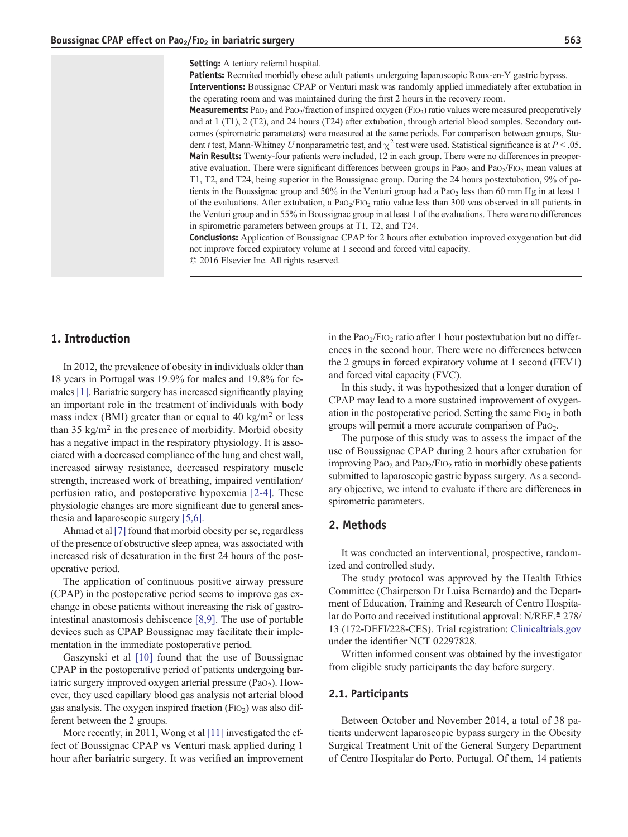Patients: Recruited morbidly obese adult patients undergoing laparoscopic Roux-en-Y gastric bypass. Interventions: Boussignac CPAP or Venturi mask was randomly applied immediately after extubation in the operating room and was maintained during the first 2 hours in the recovery room.

Measurements: PaO<sub>2</sub> and PaO<sub>2</sub>/fraction of inspired oxygen (FIO<sub>2</sub>) ratio values were measured preoperatively and at 1 (T1), 2 (T2), and 24 hours (T24) after extubation, through arterial blood samples. Secondary outcomes (spirometric parameters) were measured at the same periods. For comparison between groups, Student t test, Mann-Whitney U nonparametric test, and  $\chi^2$  test were used. Statistical significance is at  $P < .05$ . Main Results: Twenty-four patients were included, 12 in each group. There were no differences in preoperative evaluation. There were significant differences between groups in PaO<sub>2</sub> and PaO<sub>2</sub>/FIO<sub>2</sub> mean values at T1, T2, and T24, being superior in the Boussignac group. During the 24 hours postextubation, 9% of patients in the Boussignac group and  $50\%$  in the Venturi group had a Pa $o<sub>2</sub>$  less than 60 mm Hg in at least 1 of the evaluations. After extubation, a PaO2/FIO2 ratio value less than 300 was observed in all patients in the Venturi group and in 55% in Boussignac group in at least 1 of the evaluations. There were no differences in spirometric parameters between groups at T1, T2, and T24.

Conclusions: Application of Boussignac CPAP for 2 hours after extubation improved oxygenation but did not improve forced expiratory volume at 1 second and forced vital capacity.

© 2016 Elsevier Inc. All rights reserved.

# 1. Introduction

In 2012, the prevalence of obesity in individuals older than 18 years in Portugal was 19.9% for males and 19.8% for females [\[1\].](#page-7-0) Bariatric surgery has increased significantly playing an important role in the treatment of individuals with body mass index (BMI) greater than or equal to  $40 \text{ kg/m}^2$  or less than 35 kg/m<sup>2</sup> in the presence of morbidity. Morbid obesity has a negative impact in the respiratory physiology. It is associated with a decreased compliance of the lung and chest wall, increased airway resistance, decreased respiratory muscle strength, increased work of breathing, impaired ventilation/ perfusion ratio, and postoperative hypoxemia [\[2-4\].](#page-7-0) These physiologic changes are more significant due to general anesthesia and laparoscopic surgery [\[5,6\].](#page-8-0)

Ahmad et al [\[7\]](#page-8-0) found that morbid obesity per se, regardless of the presence of obstructive sleep apnea, was associated with increased risk of desaturation in the first 24 hours of the postoperative period.

The application of continuous positive airway pressure (CPAP) in the postoperative period seems to improve gas exchange in obese patients without increasing the risk of gastrointestinal anastomosis dehiscence [\[8,9\].](#page-8-0) The use of portable devices such as CPAP Boussignac may facilitate their implementation in the immediate postoperative period.

Gaszynski et al [\[10\]](#page-8-0) found that the use of Boussignac CPAP in the postoperative period of patients undergoing bariatric surgery improved oxygen arterial pressure  $(PaO<sub>2</sub>)$ . However, they used capillary blood gas analysis not arterial blood gas analysis. The oxygen inspired fraction  $(FIO<sub>2</sub>)$  was also different between the 2 groups.

More recently, in 2011, Wong et al [\[11\]](#page-8-0) investigated the effect of Boussignac CPAP vs Venturi mask applied during 1 hour after bariatric surgery. It was verified an improvement in the  $PaO<sub>2</sub>/FIO<sub>2</sub>$  ratio after 1 hour postextubation but no differences in the second hour. There were no differences between the 2 groups in forced expiratory volume at 1 second (FEV1) and forced vital capacity (FVC).

In this study, it was hypothesized that a longer duration of CPAP may lead to a more sustained improvement of oxygenation in the postoperative period. Setting the same  $F1O<sub>2</sub>$  in both groups will permit a more accurate comparison of PaO2.

The purpose of this study was to assess the impact of the use of Boussignac CPAP during 2 hours after extubation for improving  $PaO<sub>2</sub>$  and  $PaO<sub>2</sub>/FIO<sub>2</sub>$  ratio in morbidly obese patients submitted to laparoscopic gastric bypass surgery. As a secondary objective, we intend to evaluate if there are differences in spirometric parameters.

# 2. Methods

It was conducted an interventional, prospective, randomized and controlled study.

The study protocol was approved by the Health Ethics Committee (Chairperson Dr Luisa Bernardo) and the Department of Education, Training and Research of Centro Hospitalar do Porto and received institutional approval: N/REF.ª 278/ 13 (172-DEFI/228-CES). Trial registration: [Clinicaltrials.gov](http://Clinicaltrials.gov) under the identifier NCT 02297828.

Written informed consent was obtained by the investigator from eligible study participants the day before surgery.

## 2.1. Participants

Between October and November 2014, a total of 38 patients underwent laparoscopic bypass surgery in the Obesity Surgical Treatment Unit of the General Surgery Department of Centro Hospitalar do Porto, Portugal. Of them, 14 patients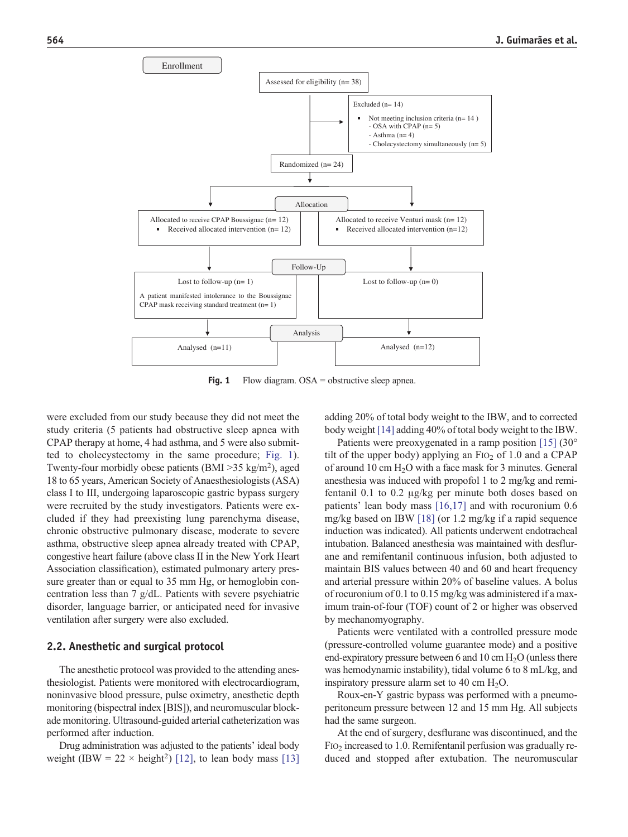<span id="page-2-0"></span>

Fig. 1 Flow diagram.  $OSA =$  obstructive sleep apnea.

were excluded from our study because they did not meet the study criteria (5 patients had obstructive sleep apnea with CPAP therapy at home, 4 had asthma, and 5 were also submitted to cholecystectomy in the same procedure; Fig. 1). Twenty-four morbidly obese patients (BMI  $>$ 35 kg/m<sup>2</sup>), aged 18 to 65 years, American Society of Anaesthesiologists (ASA) class I to III, undergoing laparoscopic gastric bypass surgery were recruited by the study investigators. Patients were excluded if they had preexisting lung parenchyma disease, chronic obstructive pulmonary disease, moderate to severe asthma, obstructive sleep apnea already treated with CPAP, congestive heart failure (above class II in the New York Heart Association classification), estimated pulmonary artery pressure greater than or equal to 35 mm Hg, or hemoglobin concentration less than 7 g/dL. Patients with severe psychiatric disorder, language barrier, or anticipated need for invasive ventilation after surgery were also excluded.

## 2.2. Anesthetic and surgical protocol

The anesthetic protocol was provided to the attending anesthesiologist. Patients were monitored with electrocardiogram, noninvasive blood pressure, pulse oximetry, anesthetic depth monitoring (bispectral index [BIS]), and neuromuscular blockade monitoring. Ultrasound-guided arterial catheterization was performed after induction.

Drug administration was adjusted to the patients' ideal body weight (IBW =  $22 \times \text{height}^2$ ) [\[12\],](#page-8-0) to lean body mass [\[13\]](#page-8-0) adding 20% of total body weight to the IBW, and to corrected body weight [\[14\]](#page-8-0) adding 40% of total body weight to the IBW.

Patients were preoxygenated in a ramp position [\[15\]](#page-8-0) (30° tilt of the upper body) applying an  $F1O<sub>2</sub>$  of 1.0 and a CPAP of around 10 cm  $H_2O$  with a face mask for 3 minutes. General anesthesia was induced with propofol 1 to 2 mg/kg and remifentanil 0.1 to 0.2 μg/kg per minute both doses based on patients' lean body mass [\[16,17\]](#page-8-0) and with rocuronium 0.6 mg/kg based on IBW [\[18\]](#page-8-0) (or 1.2 mg/kg if a rapid sequence induction was indicated). All patients underwent endotracheal intubation. Balanced anesthesia was maintained with desflurane and remifentanil continuous infusion, both adjusted to maintain BIS values between 40 and 60 and heart frequency and arterial pressure within 20% of baseline values. A bolus of rocuronium of 0.1 to 0.15 mg/kg was administered if a maximum train-of-four (TOF) count of 2 or higher was observed by mechanomyography.

Patients were ventilated with a controlled pressure mode (pressure-controlled volume guarantee mode) and a positive end-expiratory pressure between 6 and 10 cm  $H_2O$  (unless there was hemodynamic instability), tidal volume 6 to 8 mL/kg, and inspiratory pressure alarm set to 40 cm  $H_2O$ .

Roux-en-Y gastric bypass was performed with a pneumoperitoneum pressure between 12 and 15 mm Hg. All subjects had the same surgeon.

At the end of surgery, desflurane was discontinued, and the  $F1O<sub>2</sub>$  increased to 1.0. Remifentanil perfusion was gradually reduced and stopped after extubation. The neuromuscular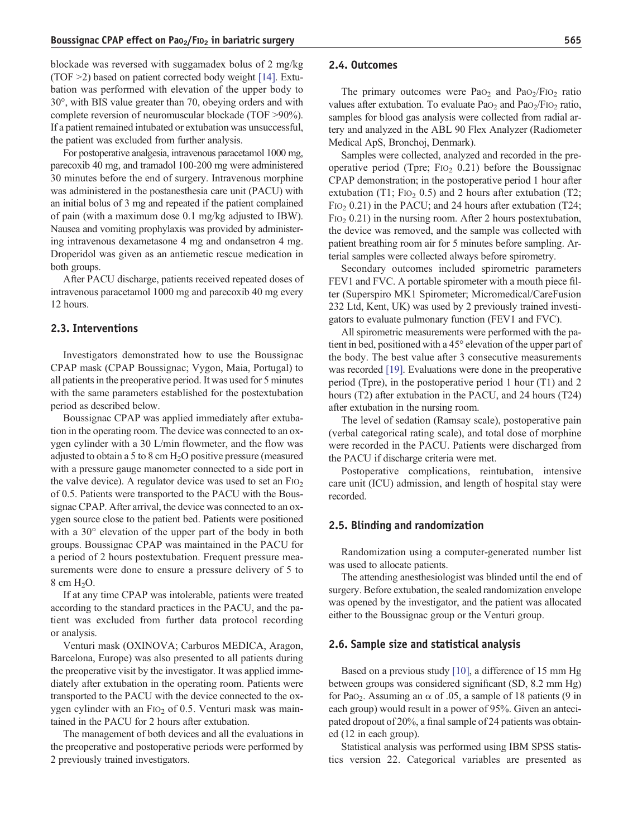blockade was reversed with suggamadex bolus of 2 mg/kg (TOF  $\geq$ 2) based on patient corrected body weight [\[14\]](#page-8-0). Extubation was performed with elevation of the upper body to 30°, with BIS value greater than 70, obeying orders and with complete reversion of neuromuscular blockade (TOF >90%). If a patient remained intubated or extubation was unsuccessful, the patient was excluded from further analysis.

For postoperative analgesia, intravenous paracetamol 1000 mg, parecoxib 40 mg, and tramadol 100-200 mg were administered 30 minutes before the end of surgery. Intravenous morphine was administered in the postanesthesia care unit (PACU) with an initial bolus of 3 mg and repeated if the patient complained of pain (with a maximum dose 0.1 mg/kg adjusted to IBW). Nausea and vomiting prophylaxis was provided by administering intravenous dexametasone 4 mg and ondansetron 4 mg. Droperidol was given as an antiemetic rescue medication in both groups.

After PACU discharge, patients received repeated doses of intravenous paracetamol 1000 mg and parecoxib 40 mg every 12 hours.

#### 2.3. Interventions

Investigators demonstrated how to use the Boussignac CPAP mask (CPAP Boussignac; Vygon, Maia, Portugal) to all patients in the preoperative period. It was used for 5 minutes with the same parameters established for the postextubation period as described below.

Boussignac CPAP was applied immediately after extubation in the operating room. The device was connected to an oxygen cylinder with a 30 L/min flowmeter, and the flow was adjusted to obtain a 5 to 8 cm  $H_2O$  positive pressure (measured with a pressure gauge manometer connected to a side port in the valve device). A regulator device was used to set an  $FiO<sub>2</sub>$ of 0.5. Patients were transported to the PACU with the Boussignac CPAP. After arrival, the device was connected to an oxygen source close to the patient bed. Patients were positioned with a 30 $\degree$  elevation of the upper part of the body in both groups. Boussignac CPAP was maintained in the PACU for a period of 2 hours postextubation. Frequent pressure measurements were done to ensure a pressure delivery of 5 to  $8 \text{ cm H}_2\text{O}$ .

If at any time CPAP was intolerable, patients were treated according to the standard practices in the PACU, and the patient was excluded from further data protocol recording or analysis.

Venturi mask (OXINOVA; Carburos MEDICA, Aragon, Barcelona, Europe) was also presented to all patients during the preoperative visit by the investigator. It was applied immediately after extubation in the operating room. Patients were transported to the PACU with the device connected to the oxygen cylinder with an  $F10<sub>2</sub>$  of 0.5. Venturi mask was maintained in the PACU for 2 hours after extubation.

The management of both devices and all the evaluations in the preoperative and postoperative periods were performed by 2 previously trained investigators.

#### 2.4. Outcomes

The primary outcomes were  $PaO<sub>2</sub>$  and  $PaO<sub>2</sub>/FIO<sub>2</sub>$  ratio values after extubation. To evaluate  $PaO<sub>2</sub>$  and  $PaO<sub>2</sub>/FIO<sub>2</sub>$  ratio, samples for blood gas analysis were collected from radial artery and analyzed in the ABL 90 Flex Analyzer (Radiometer Medical ApS, Bronchoj, Denmark).

Samples were collected, analyzed and recorded in the preoperative period (Tpre;  $F1O<sub>2</sub>$  0.21) before the Boussignac CPAP demonstration; in the postoperative period 1 hour after extubation (T1; F<sub>IO2</sub> 0.5) and 2 hours after extubation (T2;  $FIO<sub>2</sub> 0.21$ ) in the PACU; and 24 hours after extubation (T24;  $F1O<sub>2</sub> 0.21$ ) in the nursing room. After 2 hours postextubation, the device was removed, and the sample was collected with patient breathing room air for 5 minutes before sampling. Arterial samples were collected always before spirometry.

Secondary outcomes included spirometric parameters FEV1 and FVC. A portable spirometer with a mouth piece filter (Superspiro MK1 Spirometer; Micromedical/CareFusion 232 Ltd, Kent, UK) was used by 2 previously trained investigators to evaluate pulmonary function (FEV1 and FVC).

All spirometric measurements were performed with the patient in bed, positioned with a 45° elevation of the upper part of the body. The best value after 3 consecutive measurements was recorded [\[19\].](#page-8-0) Evaluations were done in the preoperative period (Tpre), in the postoperative period 1 hour (T1) and 2 hours (T2) after extubation in the PACU, and 24 hours (T24) after extubation in the nursing room.

The level of sedation (Ramsay scale), postoperative pain (verbal categorical rating scale), and total dose of morphine were recorded in the PACU. Patients were discharged from the PACU if discharge criteria were met.

Postoperative complications, reintubation, intensive care unit (ICU) admission, and length of hospital stay were recorded.

#### 2.5. Blinding and randomization

Randomization using a computer-generated number list was used to allocate patients.

The attending anesthesiologist was blinded until the end of surgery. Before extubation, the sealed randomization envelope was opened by the investigator, and the patient was allocated either to the Boussignac group or the Venturi group.

### 2.6. Sample size and statistical analysis

Based on a previous study [\[10\],](#page-8-0) a difference of 15 mm Hg between groups was considered significant (SD, 8.2 mm Hg) for PaO<sub>2</sub>. Assuming an  $\alpha$  of .05, a sample of 18 patients (9 in each group) would result in a power of 95%. Given an antecipated dropout of 20%, a final sample of 24 patients was obtained (12 in each group).

Statistical analysis was performed using IBM SPSS statistics version 22. Categorical variables are presented as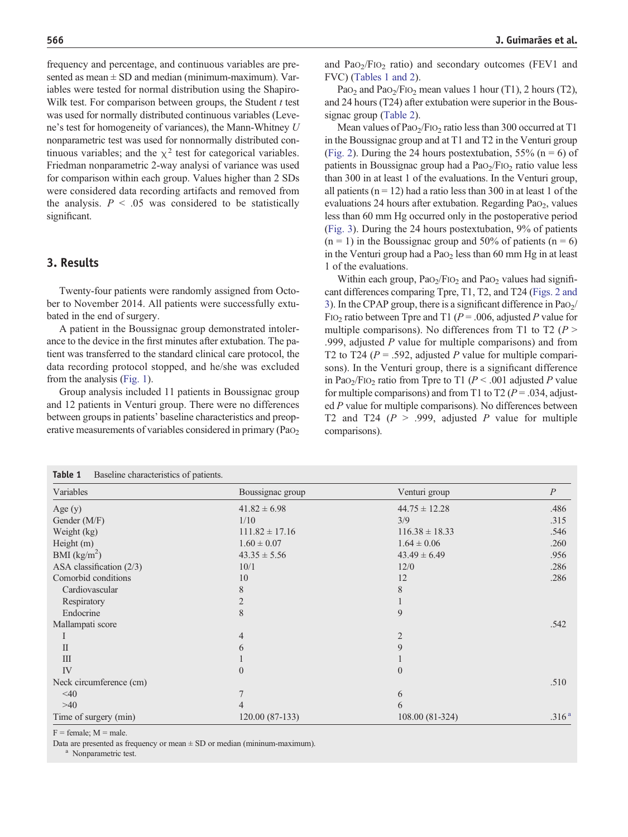frequency and percentage, and continuous variables are presented as mean  $\pm$  SD and median (minimum-maximum). Variables were tested for normal distribution using the Shapiro-Wilk test. For comparison between groups, the Student  $t$  test was used for normally distributed continuous variables (Levene's test for homogeneity of variances), the Mann-Whitney U nonparametric test was used for nonnormally distributed continuous variables; and the  $\chi^2$  test for categorical variables. Friedman nonparametric 2-way analysi of variance was used for comparison within each group. Values higher than 2 SDs were considered data recording artifacts and removed from the analysis.  $P < .05$  was considered to be statistically significant.

# 3. Results

Twenty-four patients were randomly assigned from October to November 2014. All patients were successfully extubated in the end of surgery.

A patient in the Boussignac group demonstrated intolerance to the device in the first minutes after extubation. The patient was transferred to the standard clinical care protocol, the data recording protocol stopped, and he/she was excluded from the analysis ([Fig. 1\)](#page-2-0).

Group analysis included 11 patients in Boussignac group and 12 patients in Venturi group. There were no differences between groups in patients' baseline characteristics and preoperative measurements of variables considered in primary (PaO<sub>2</sub>

and  $PaO<sub>2</sub>/FiO<sub>2</sub>$  ratio) and secondary outcomes (FEV1 and FVC) (Tables 1 and 2).

Pa $O_2$  and Pa $O_2$ /FI $O_2$  mean values 1 hour (T1), 2 hours (T2), and 24 hours (T24) after extubation were superior in the Boussignac group ([Table 2](#page-5-0)).

Mean values of  $PaO<sub>2</sub>/FIO<sub>2</sub>$  ratio less than 300 occurred at T1 in the Boussignac group and at T1 and T2 in the Venturi group [\(Fig. 2](#page-6-0)). During the 24 hours postextubation, 55% ( $n = 6$ ) of patients in Boussignac group had a  $PaO<sub>2</sub>/FIO<sub>2</sub>$  ratio value less than 300 in at least 1 of the evaluations. In the Venturi group, all patients ( $n = 12$ ) had a ratio less than 300 in at least 1 of the evaluations 24 hours after extubation. Regarding PaO<sub>2</sub>, values less than 60 mm Hg occurred only in the postoperative period [\(Fig. 3\)](#page-6-0). During the 24 hours postextubation, 9% of patients  $(n = 1)$  in the Boussignac group and 50% of patients  $(n = 6)$ in the Venturi group had a Pa $O<sub>2</sub>$  less than 60 mm Hg in at least 1 of the evaluations.

Within each group,  $PaO<sub>2</sub>/FIO<sub>2</sub>$  and PaO<sub>2</sub> values had significant differences comparing Tpre, T1, T2, and T24 ([Figs. 2 and](#page-6-0) [3\)](#page-6-0). In the CPAP group, there is a significant difference in  $PaO<sub>2</sub>/$ FIO<sub>2</sub> ratio between Tpre and T1 ( $P = .006$ , adjusted P value for multiple comparisons). No differences from T1 to T2 ( $P >$ .999, adjusted  $P$  value for multiple comparisons) and from T2 to T24 ( $P = .592$ , adjusted P value for multiple comparisons). In the Venturi group, there is a significant difference in PaO<sub>2</sub>/F<sub>IO<sub>2</sub> ratio from Tpre to T1 ( $P < .001$  adjusted P value</sub> for multiple comparisons) and from T1 to T2 ( $P = .034$ , adjusted P value for multiple comparisons). No differences between T2 and T24 ( $P > .999$ , adjusted P value for multiple comparisons).

| Table 1<br>Baseline characteristics of patients. |                    |                    |                   |
|--------------------------------------------------|--------------------|--------------------|-------------------|
| Variables                                        | Boussignac group   | Venturi group      | $\overline{P}$    |
| Age $(y)$                                        | $41.82 \pm 6.98$   | $44.75 \pm 12.28$  | .486              |
| Gender (M/F)                                     | 1/10               | 3/9                | .315              |
| Weight (kg)                                      | $111.82 \pm 17.16$ | $116.38 \pm 18.33$ | .546              |
| Height (m)                                       | $1.60 \pm 0.07$    | $1.64 \pm 0.06$    | .260              |
| BMI $(kg/m2)$                                    | $43.35 \pm 5.56$   | $43.49 \pm 6.49$   | .956              |
| ASA classification $(2/3)$                       | 10/1               | 12/0               | .286              |
| Comorbid conditions                              | 10                 | 12                 | .286              |
| Cardiovascular                                   | 8                  | 8                  |                   |
| Respiratory                                      | 2                  |                    |                   |
| Endocrine                                        | 8                  | 9                  |                   |
| Mallampati score                                 |                    |                    | .542              |
|                                                  | 4                  | 2                  |                   |
| $\mathbf{I}$                                     | 6                  | 9                  |                   |
| III                                              |                    |                    |                   |
| IV                                               | $\theta$           | $\overline{0}$     |                   |
| Neck circumference (cm)                          |                    |                    | .510              |
| $\leq 40$                                        | $\overline{7}$     | 6                  |                   |
| $>40$                                            |                    | 6                  |                   |
| Time of surgery (min)                            | $120.00(87-133)$   | 108.00 (81-324)    | .316 <sup>a</sup> |

 $F =$  female;  $M =$  male.

Data are presented as frequency or mean  $\pm$  SD or median (mininum-maximum).

Nonparametric test.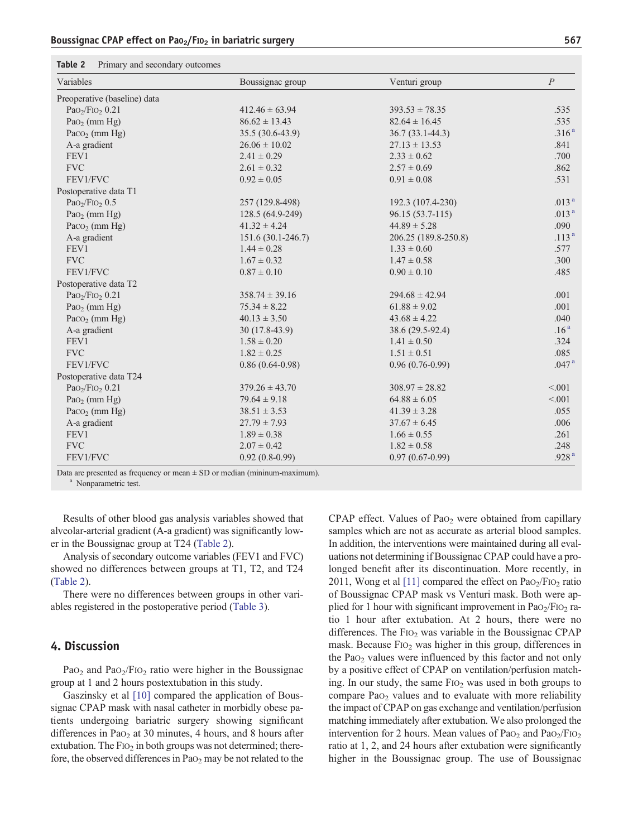<span id="page-5-0"></span>

| Table 2 | Primary and secondary outcomes |  |  |
|---------|--------------------------------|--|--|
|---------|--------------------------------|--|--|

| Variables                                 | Boussignac group   | Venturi group        | $\overline{P}$    |
|-------------------------------------------|--------------------|----------------------|-------------------|
| Preoperative (baseline) data              |                    |                      |                   |
| PaO <sub>2</sub> /FIO <sub>2</sub> $0.21$ | $412.46 \pm 63.94$ | $393.53 \pm 78.35$   | .535              |
| Pa $O_2$ (mm Hg)                          | $86.62 \pm 13.43$  | $82.64 \pm 16.45$    | .535              |
| Pa $\cos_2$ (mm Hg)                       | 35.5 (30.6-43.9)   | $36.7(33.1 - 44.3)$  | .316 <sup>a</sup> |
| A-a gradient                              | $26.06 \pm 10.02$  | $27.13 \pm 13.53$    | .841              |
| FEV1                                      | $2.41 \pm 0.29$    | $2.33 \pm 0.62$      | .700              |
| <b>FVC</b>                                | $2.61 \pm 0.32$    | $2.57 \pm 0.69$      | .862              |
| FEV1/FVC                                  | $0.92 \pm 0.05$    | $0.91 \pm 0.08$      | .531              |
| Postoperative data T1                     |                    |                      |                   |
| PaO <sub>2</sub> /FIO <sub>2</sub> $0.5$  | 257 (129.8-498)    | 192.3 (107.4-230)    | .013 <sup>a</sup> |
| Pa $O_2$ (mm Hg)                          | 128.5 (64.9-249)   | 96.15 (53.7-115)     | .013 <sup>a</sup> |
| Pa $\cos_2$ (mm Hg)                       | $41.32 \pm 4.24$   | $44.89 \pm 5.28$     | .090              |
| A-a gradient                              | 151.6 (30.1-246.7) | 206.25 (189.8-250.8) | .113 <sup>a</sup> |
| FEV1                                      | $1.44 \pm 0.28$    | $1.33 \pm 0.60$      | .577              |
| <b>FVC</b>                                | $1.67 \pm 0.32$    | $1.47 \pm 0.58$      | .300              |
| FEV1/FVC                                  | $0.87 \pm 0.10$    | $0.90 \pm 0.10$      | .485              |
| Postoperative data T2                     |                    |                      |                   |
| PaO <sub>2</sub> /FIO <sub>2</sub> $0.21$ | $358.74 \pm 39.16$ | $294.68 \pm 42.94$   | .001              |
| Pa $O_2$ (mm Hg)                          | $75.34 \pm 8.22$   | $61.88 \pm 9.02$     | .001              |
| Paco <sub>2</sub> (mm Hg)                 | $40.13 \pm 3.50$   | $43.68 \pm 4.22$     | .040              |
| A-a gradient                              | 30 (17.8-43.9)     | 38.6 (29.5-92.4)     | .16 <sup>a</sup>  |
| FEV1                                      | $1.58 \pm 0.20$    | $1.41 \pm 0.50$      | .324              |
| <b>FVC</b>                                | $1.82 \pm 0.25$    | $1.51 \pm 0.51$      | .085              |
| FEV1/FVC                                  | $0.86(0.64-0.98)$  | $0.96(0.76-0.99)$    | .047 <sup>a</sup> |
| Postoperative data T24                    |                    |                      |                   |
| PaO <sub>2</sub> /FIO <sub>2</sub> $0.21$ | $379.26 \pm 43.70$ | $308.97 \pm 28.82$   | < 0.01            |
| Pa $O_2$ (mm Hg)                          | $79.64 \pm 9.18$   | $64.88 \pm 6.05$     | < 0.001           |
| Pa $\cos_2$ (mm Hg)                       | $38.51 \pm 3.53$   | $41.39 \pm 3.28$     | .055              |
| A-a gradient                              | $27.79 \pm 7.93$   | $37.67 \pm 6.45$     | .006              |
| FEV1                                      | $1.89 \pm 0.38$    | $1.66 \pm 0.55$      | .261              |
| <b>FVC</b>                                | $2.07 \pm 0.42$    | $1.82 \pm 0.58$      | .248              |
| FEV1/FVC                                  | $0.92(0.8-0.99)$   | $0.97(0.67-0.99)$    | .928 <sup>a</sup> |

Data are presented as frequency or mean  $\pm$  SD or median (mininum-maximum). <sup>a</sup> Nonparametric test.

Results of other blood gas analysis variables showed that alveolar-arterial gradient (A-a gradient) was significantly lower in the Boussignac group at T24 (Table 2).

Analysis of secondary outcome variables (FEV1 and FVC) showed no differences between groups at T1, T2, and T24 (Table 2).

There were no differences between groups in other variables registered in the postoperative period [\(Table 3\)](#page-7-0).

# 4. Discussion

Pa $O_2$  and Pa $O_2$ /FI $O_2$  ratio were higher in the Boussignac group at 1 and 2 hours postextubation in this study.

Gaszinsky et al [\[10\]](#page-8-0) compared the application of Boussignac CPAP mask with nasal catheter in morbidly obese patients undergoing bariatric surgery showing significant differences in Pa $O<sub>2</sub>$  at 30 minutes, 4 hours, and 8 hours after extubation. The  $FIO<sub>2</sub>$  in both groups was not determined; therefore, the observed differences in Pa $\Omega_2$  may be not related to the CPAP effect. Values of Pa $o_2$  were obtained from capillary samples which are not as accurate as arterial blood samples. In addition, the interventions were maintained during all evaluations not determining if Boussignac CPAP could have a prolonged benefit after its discontinuation. More recently, in 2011, Wong et al [\[11\]](#page-8-0) compared the effect on  $PaO<sub>2</sub>/FIO<sub>2</sub>$  ratio of Boussignac CPAP mask vs Venturi mask. Both were applied for 1 hour with significant improvement in  $PaO<sub>2</sub>/FIO<sub>2</sub>$  ratio 1 hour after extubation. At 2 hours, there were no differences. The  $F1O<sub>2</sub>$  was variable in the Boussignac CPAP mask. Because  $FiO<sub>2</sub>$  was higher in this group, differences in the  $PaO<sub>2</sub>$  values were influenced by this factor and not only by a positive effect of CPAP on ventilation/perfusion matching. In our study, the same  $F1O<sub>2</sub>$  was used in both groups to compare PaO<sub>2</sub> values and to evaluate with more reliability the impact of CPAP on gas exchange and ventilation/perfusion matching immediately after extubation. We also prolonged the intervention for 2 hours. Mean values of  $PaO<sub>2</sub>$  and  $PaO<sub>2</sub>/FiO<sub>2</sub>$ ratio at 1, 2, and 24 hours after extubation were significantly higher in the Boussignac group. The use of Boussignac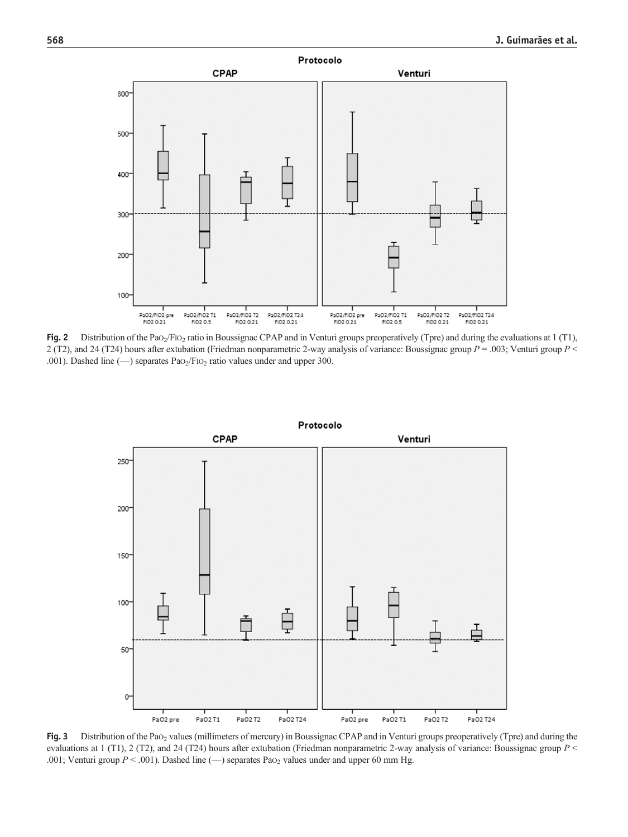<span id="page-6-0"></span>

Fig. 2 Distribution of the PaO<sub>2</sub>/FIO<sub>2</sub> ratio in Boussignac CPAP and in Venturi groups preoperatively (Tpre) and during the evaluations at 1 (T1), 2 (T2), and 24 (T24) hours after extubation (Friedman nonparametric 2-way analysis of variance: Boussignac group  $P = .003$ ; Venturi group  $P \le$ .001). Dashed line (- ) separates PaO<sub>2</sub>/FIO<sub>2</sub> ratio values under and upper 300.



Fig. 3 Distribution of the PaO<sub>2</sub> values (millimeters of mercury) in Boussignac CPAP and in Venturi groups preoperatively (Tpre) and during the evaluations at 1 (T1), 2 (T2), and 24 (T24) hours after extubation (Friedman nonparametric 2-way analysis of variance: Boussignac group  $P$  < .001; Venturi group  $P < .001$ ). Dashed line ( $-$ ) separates PaO<sub>2</sub> values under and upper 60 mm Hg.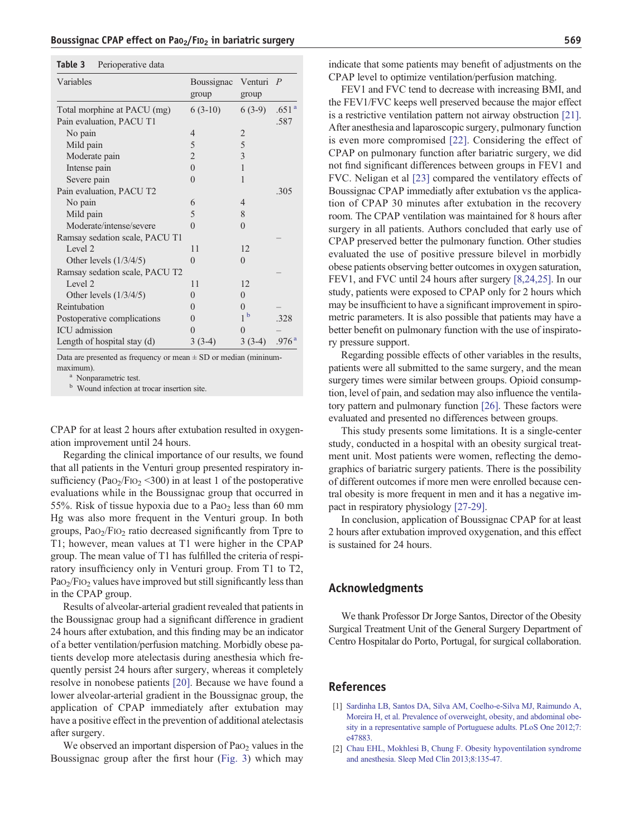<span id="page-7-0"></span>

| Table 3 | Perioperative data |  |
|---------|--------------------|--|
|---------|--------------------|--|

| Variables                      | Boussignac<br>group | Venturi<br>group | $\overline{P}$    |
|--------------------------------|---------------------|------------------|-------------------|
| Total morphine at PACU (mg)    | $6(3-10)$           | $6(3-9)$         | .651 <sup>a</sup> |
| Pain evaluation, PACU T1       |                     |                  | .587              |
| No pain                        | 4                   | $\overline{2}$   |                   |
| Mild pain                      | 5                   | 5                |                   |
| Moderate pain                  | $\overline{2}$      | 3                |                   |
| Intense pain                   | $\theta$            | 1                |                   |
| Severe pain                    | 0                   | 1                |                   |
| Pain evaluation, PACU T2       |                     |                  | .305              |
| No pain                        | 6                   | $\overline{4}$   |                   |
| Mild pain                      | 5                   | 8                |                   |
| Moderate/intense/severe        | $\Omega$            | $\Omega$         |                   |
| Ramsay sedation scale, PACU T1 |                     |                  |                   |
| Level 2                        | 11                  | 12               |                   |
| Other levels $(1/3/4/5)$       | $\overline{0}$      | $\Omega$         |                   |
| Ramsay sedation scale, PACU T2 |                     |                  |                   |
| Level 2                        | 11                  | 12               |                   |
| Other levels $(1/3/4/5)$       | 0                   | $\theta$         |                   |
| Reintubation                   | 0                   | $\Omega$         |                   |
| Postoperative complications    | $\left( \right)$    | $\mathbf b$<br>1 | .328              |
| ICU admission                  | 0                   | 0                |                   |
| Length of hospital stay (d)    | $3(3-4)$            | $3(3-4)$         | .976 <sup>a</sup> |

Data are presented as frequency or mean  $\pm$  SD or median (mininummaximum).<br><sup>a</sup> Nonparametric test.

**b** Wound infection at trocar insertion site.

CPAP for at least 2 hours after extubation resulted in oxygenation improvement until 24 hours.

Regarding the clinical importance of our results, we found that all patients in the Venturi group presented respiratory insufficiency (PaO<sub>2</sub>/F<sub>IO<sub>2</sub> < 300) in at least 1 of the postoperative</sub> evaluations while in the Boussignac group that occurred in 55%. Risk of tissue hypoxia due to a Pa $o<sub>2</sub>$  less than 60 mm Hg was also more frequent in the Venturi group. In both groups,  $PaO<sub>2</sub>/FIO<sub>2</sub>$  ratio decreased significantly from Tpre to T1; however, mean values at T1 were higher in the CPAP group. The mean value of T1 has fulfilled the criteria of respiratory insufficiency only in Venturi group. From T1 to T2,  $PaO<sub>2</sub>/FIO<sub>2</sub>$  values have improved but still significantly less than in the CPAP group.

Results of alveolar-arterial gradient revealed that patients in the Boussignac group had a significant difference in gradient 24 hours after extubation, and this finding may be an indicator of a better ventilation/perfusion matching. Morbidly obese patients develop more atelectasis during anesthesia which frequently persist 24 hours after surgery, whereas it completely resolve in nonobese patients [\[20\].](#page-8-0) Because we have found a lower alveolar-arterial gradient in the Boussignac group, the application of CPAP immediately after extubation may have a positive effect in the prevention of additional atelectasis after surgery.

We observed an important dispersion of  $PaO<sub>2</sub>$  values in the Boussignac group after the first hour [\(Fig. 3](#page-6-0)) which may indicate that some patients may benefit of adjustments on the CPAP level to optimize ventilation/perfusion matching.

FEV1 and FVC tend to decrease with increasing BMI, and the FEV1/FVC keeps well preserved because the major effect is a restrictive ventilation pattern not airway obstruction [\[21\]](#page-8-0). After anesthesia and laparoscopic surgery, pulmonary function is even more compromised [\[22\].](#page-8-0) Considering the effect of CPAP on pulmonary function after bariatric surgery, we did not find significant differences between groups in FEV1 and FVC. Neligan et al [\[23\]](#page-8-0) compared the ventilatory effects of Boussignac CPAP immediatly after extubation vs the application of CPAP 30 minutes after extubation in the recovery room. The CPAP ventilation was maintained for 8 hours after surgery in all patients. Authors concluded that early use of CPAP preserved better the pulmonary function. Other studies evaluated the use of positive pressure bilevel in morbidly obese patients observing better outcomes in oxygen saturation, FEV1, and FVC until 24 hours after surgery [\[8,24,25\]](#page-8-0). In our study, patients were exposed to CPAP only for 2 hours which may be insufficient to have a significant improvement in spirometric parameters. It is also possible that patients may have a better benefit on pulmonary function with the use of inspiratory pressure support.

Regarding possible effects of other variables in the results, patients were all submitted to the same surgery, and the mean surgery times were similar between groups. Opioid consumption, level of pain, and sedation may also influence the ventilatory pattern and pulmonary function [\[26\]](#page-8-0). These factors were evaluated and presented no differences between groups.

This study presents some limitations. It is a single-center study, conducted in a hospital with an obesity surgical treatment unit. Most patients were women, reflecting the demographics of bariatric surgery patients. There is the possibility of different outcomes if more men were enrolled because central obesity is more frequent in men and it has a negative impact in respiratory physiology [\[27-29\].](#page-8-0)

In conclusion, application of Boussignac CPAP for at least 2 hours after extubation improved oxygenation, and this effect is sustained for 24 hours.

## Acknowledgments

We thank Professor Dr Jorge Santos, Director of the Obesity Surgical Treatment Unit of the General Surgery Department of Centro Hospitalar do Porto, Portugal, for surgical collaboration.

# References

- [1] [Sardinha LB, Santos DA, Silva AM, Coelho-e-Silva MJ, Raimundo A,](http://refhub.elsevier.com/S0952-8180(16)30299-9/rf0005) [Moreira H, et al. Prevalence of overweight, obesity, and abdominal obe](http://refhub.elsevier.com/S0952-8180(16)30299-9/rf0005)[sity in a representative sample of Portuguese adults. PLoS One 2012;7:](http://refhub.elsevier.com/S0952-8180(16)30299-9/rf0005) [e47883.](http://refhub.elsevier.com/S0952-8180(16)30299-9/rf0005)
- [2] [Chau EHL, Mokhlesi B, Chung F. Obesity hypoventilation syndrome](http://refhub.elsevier.com/S0952-8180(16)30299-9/rf0010) [and anesthesia. Sleep Med Clin 2013;8:135-47.](http://refhub.elsevier.com/S0952-8180(16)30299-9/rf0010)